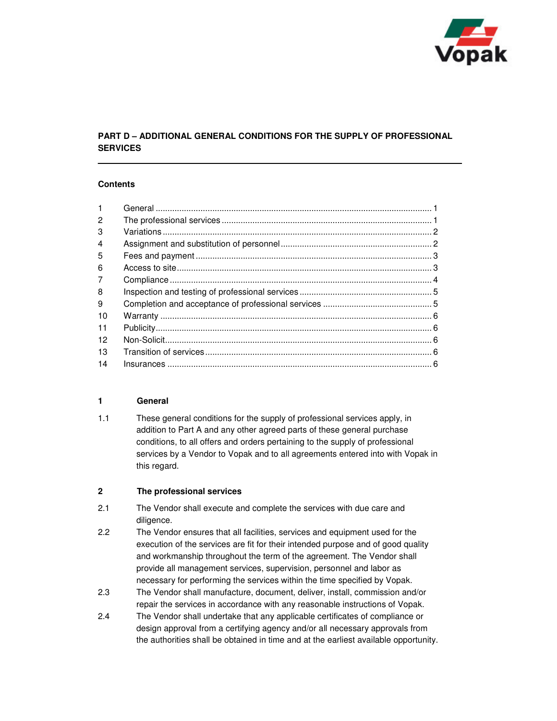

# **PART D – ADDITIONAL GENERAL CONDITIONS FOR THE SUPPLY OF PROFESSIONAL SERVICES**

### **Contents**

| $\mathbf{1}$   |  |
|----------------|--|
| $\overline{c}$ |  |
| 3              |  |
| $\overline{4}$ |  |
| 5              |  |
| 6              |  |
| 7              |  |
| 8              |  |
| 9              |  |
| 10             |  |
| 11             |  |
| 12             |  |
| 13             |  |
| 14             |  |
|                |  |

### **1 General**

1.1 These general conditions for the supply of professional services apply, in addition to Part A and any other agreed parts of these general purchase conditions, to all offers and orders pertaining to the supply of professional services by a Vendor to Vopak and to all agreements entered into with Vopak in this regard.

## **2 The professional services**

- 2.1 The Vendor shall execute and complete the services with due care and diligence.
- 2.2 The Vendor ensures that all facilities, services and equipment used for the execution of the services are fit for their intended purpose and of good quality and workmanship throughout the term of the agreement. The Vendor shall provide all management services, supervision, personnel and labor as necessary for performing the services within the time specified by Vopak.
- 2.3 The Vendor shall manufacture, document, deliver, install, commission and/or repair the services in accordance with any reasonable instructions of Vopak.
- 2.4 The Vendor shall undertake that any applicable certificates of compliance or design approval from a certifying agency and/or all necessary approvals from the authorities shall be obtained in time and at the earliest available opportunity.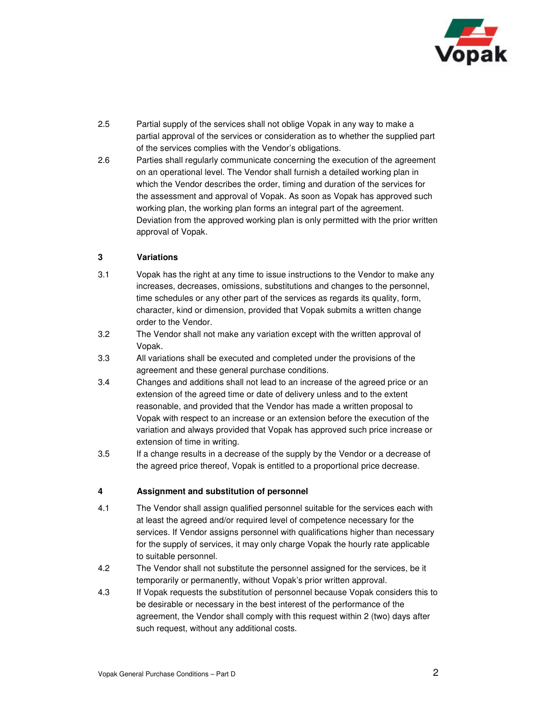

- 2.5 Partial supply of the services shall not oblige Vopak in any way to make a partial approval of the services or consideration as to whether the supplied part of the services complies with the Vendor's obligations.
- 2.6 Parties shall regularly communicate concerning the execution of the agreement on an operational level. The Vendor shall furnish a detailed working plan in which the Vendor describes the order, timing and duration of the services for the assessment and approval of Vopak. As soon as Vopak has approved such working plan, the working plan forms an integral part of the agreement. Deviation from the approved working plan is only permitted with the prior written approval of Vopak.

### **3 Variations**

- 3.1 Vopak has the right at any time to issue instructions to the Vendor to make any increases, decreases, omissions, substitutions and changes to the personnel, time schedules or any other part of the services as regards its quality, form, character, kind or dimension, provided that Vopak submits a written change order to the Vendor.
- 3.2 The Vendor shall not make any variation except with the written approval of Vopak.
- 3.3 All variations shall be executed and completed under the provisions of the agreement and these general purchase conditions.
- 3.4 Changes and additions shall not lead to an increase of the agreed price or an extension of the agreed time or date of delivery unless and to the extent reasonable, and provided that the Vendor has made a written proposal to Vopak with respect to an increase or an extension before the execution of the variation and always provided that Vopak has approved such price increase or extension of time in writing.
- 3.5 If a change results in a decrease of the supply by the Vendor or a decrease of the agreed price thereof, Vopak is entitled to a proportional price decrease.

### **4 Assignment and substitution of personnel**

- 4.1 The Vendor shall assign qualified personnel suitable for the services each with at least the agreed and/or required level of competence necessary for the services. If Vendor assigns personnel with qualifications higher than necessary for the supply of services, it may only charge Vopak the hourly rate applicable to suitable personnel.
- 4.2 The Vendor shall not substitute the personnel assigned for the services, be it temporarily or permanently, without Vopak's prior written approval.
- 4.3 If Vopak requests the substitution of personnel because Vopak considers this to be desirable or necessary in the best interest of the performance of the agreement, the Vendor shall comply with this request within 2 (two) days after such request, without any additional costs.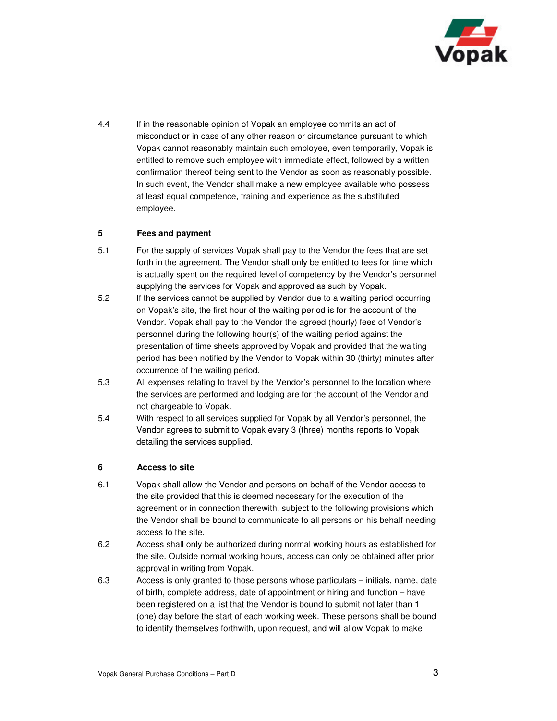

4.4 If in the reasonable opinion of Vopak an employee commits an act of misconduct or in case of any other reason or circumstance pursuant to which Vopak cannot reasonably maintain such employee, even temporarily, Vopak is entitled to remove such employee with immediate effect, followed by a written confirmation thereof being sent to the Vendor as soon as reasonably possible. In such event, the Vendor shall make a new employee available who possess at least equal competence, training and experience as the substituted employee.

## **5 Fees and payment**

- 5.1 For the supply of services Vopak shall pay to the Vendor the fees that are set forth in the agreement. The Vendor shall only be entitled to fees for time which is actually spent on the required level of competency by the Vendor's personnel supplying the services for Vopak and approved as such by Vopak.
- 5.2 If the services cannot be supplied by Vendor due to a waiting period occurring on Vopak's site, the first hour of the waiting period is for the account of the Vendor. Vopak shall pay to the Vendor the agreed (hourly) fees of Vendor's personnel during the following hour(s) of the waiting period against the presentation of time sheets approved by Vopak and provided that the waiting period has been notified by the Vendor to Vopak within 30 (thirty) minutes after occurrence of the waiting period.
- 5.3 All expenses relating to travel by the Vendor's personnel to the location where the services are performed and lodging are for the account of the Vendor and not chargeable to Vopak.
- 5.4 With respect to all services supplied for Vopak by all Vendor's personnel, the Vendor agrees to submit to Vopak every 3 (three) months reports to Vopak detailing the services supplied.

### **6 Access to site**

- 6.1 Vopak shall allow the Vendor and persons on behalf of the Vendor access to the site provided that this is deemed necessary for the execution of the agreement or in connection therewith, subject to the following provisions which the Vendor shall be bound to communicate to all persons on his behalf needing access to the site.
- 6.2 Access shall only be authorized during normal working hours as established for the site. Outside normal working hours, access can only be obtained after prior approval in writing from Vopak.
- 6.3 Access is only granted to those persons whose particulars initials, name, date of birth, complete address, date of appointment or hiring and function – have been registered on a list that the Vendor is bound to submit not later than 1 (one) day before the start of each working week. These persons shall be bound to identify themselves forthwith, upon request, and will allow Vopak to make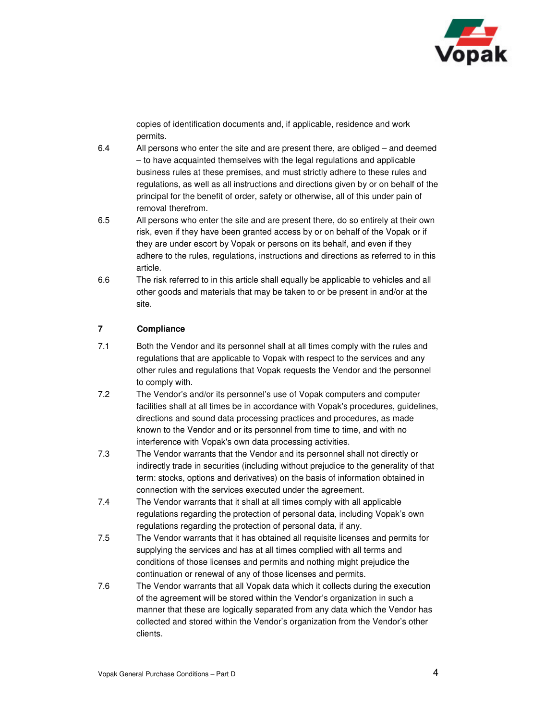

copies of identification documents and, if applicable, residence and work permits.

- 6.4 All persons who enter the site and are present there, are obliged and deemed – to have acquainted themselves with the legal regulations and applicable business rules at these premises, and must strictly adhere to these rules and regulations, as well as all instructions and directions given by or on behalf of the principal for the benefit of order, safety or otherwise, all of this under pain of removal therefrom.
- 6.5 All persons who enter the site and are present there, do so entirely at their own risk, even if they have been granted access by or on behalf of the Vopak or if they are under escort by Vopak or persons on its behalf, and even if they adhere to the rules, regulations, instructions and directions as referred to in this article.
- 6.6 The risk referred to in this article shall equally be applicable to vehicles and all other goods and materials that may be taken to or be present in and/or at the site.

## **7 Compliance**

- 7.1 Both the Vendor and its personnel shall at all times comply with the rules and regulations that are applicable to Vopak with respect to the services and any other rules and regulations that Vopak requests the Vendor and the personnel to comply with.
- 7.2 The Vendor's and/or its personnel's use of Vopak computers and computer facilities shall at all times be in accordance with Vopak's procedures, guidelines, directions and sound data processing practices and procedures, as made known to the Vendor and or its personnel from time to time, and with no interference with Vopak's own data processing activities.
- 7.3 The Vendor warrants that the Vendor and its personnel shall not directly or indirectly trade in securities (including without prejudice to the generality of that term: stocks, options and derivatives) on the basis of information obtained in connection with the services executed under the agreement.
- 7.4 The Vendor warrants that it shall at all times comply with all applicable regulations regarding the protection of personal data, including Vopak's own regulations regarding the protection of personal data, if any.
- 7.5 The Vendor warrants that it has obtained all requisite licenses and permits for supplying the services and has at all times complied with all terms and conditions of those licenses and permits and nothing might prejudice the continuation or renewal of any of those licenses and permits.
- 7.6 The Vendor warrants that all Vopak data which it collects during the execution of the agreement will be stored within the Vendor's organization in such a manner that these are logically separated from any data which the Vendor has collected and stored within the Vendor's organization from the Vendor's other clients.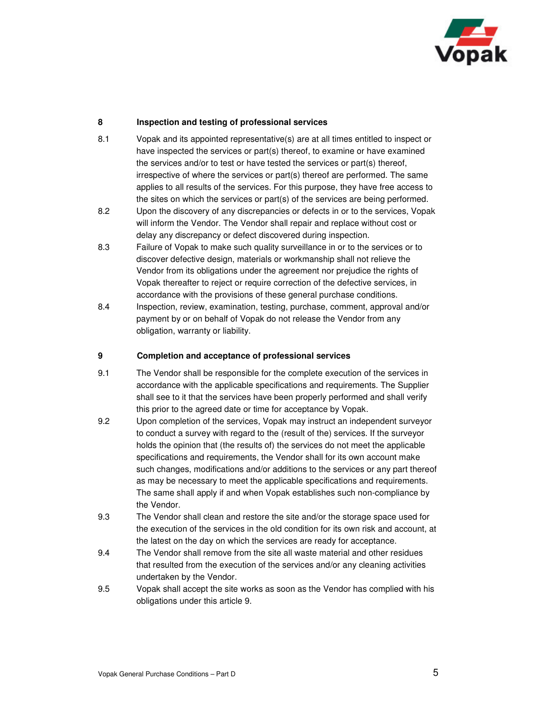

### **8 Inspection and testing of professional services**

- 8.1 Vopak and its appointed representative(s) are at all times entitled to inspect or have inspected the services or part(s) thereof, to examine or have examined the services and/or to test or have tested the services or part(s) thereof, irrespective of where the services or part(s) thereof are performed. The same applies to all results of the services. For this purpose, they have free access to the sites on which the services or part(s) of the services are being performed.
- 8.2 Upon the discovery of any discrepancies or defects in or to the services, Vopak will inform the Vendor. The Vendor shall repair and replace without cost or delay any discrepancy or defect discovered during inspection.
- 8.3 Failure of Vopak to make such quality surveillance in or to the services or to discover defective design, materials or workmanship shall not relieve the Vendor from its obligations under the agreement nor prejudice the rights of Vopak thereafter to reject or require correction of the defective services, in accordance with the provisions of these general purchase conditions.
- 8.4 Inspection, review, examination, testing, purchase, comment, approval and/or payment by or on behalf of Vopak do not release the Vendor from any obligation, warranty or liability.

#### **9 Completion and acceptance of professional services**

- 9.1 The Vendor shall be responsible for the complete execution of the services in accordance with the applicable specifications and requirements. The Supplier shall see to it that the services have been properly performed and shall verify this prior to the agreed date or time for acceptance by Vopak.
- 9.2 Upon completion of the services, Vopak may instruct an independent surveyor to conduct a survey with regard to the (result of the) services. If the surveyor holds the opinion that (the results of) the services do not meet the applicable specifications and requirements, the Vendor shall for its own account make such changes, modifications and/or additions to the services or any part thereof as may be necessary to meet the applicable specifications and requirements. The same shall apply if and when Vopak establishes such non-compliance by the Vendor.
- 9.3 The Vendor shall clean and restore the site and/or the storage space used for the execution of the services in the old condition for its own risk and account, at the latest on the day on which the services are ready for acceptance.
- 9.4 The Vendor shall remove from the site all waste material and other residues that resulted from the execution of the services and/or any cleaning activities undertaken by the Vendor.
- 9.5 Vopak shall accept the site works as soon as the Vendor has complied with his obligations under this article 9.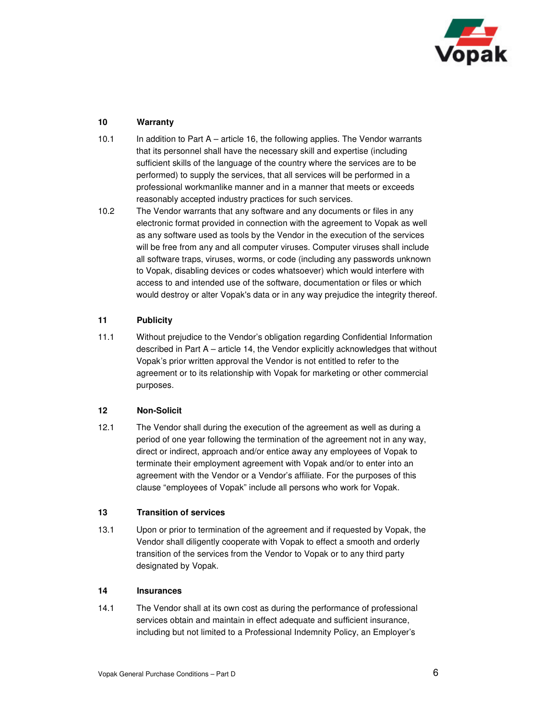

## **10 Warranty**

- 10.1 In addition to Part A article 16, the following applies. The Vendor warrants that its personnel shall have the necessary skill and expertise (including sufficient skills of the language of the country where the services are to be performed) to supply the services, that all services will be performed in a professional workmanlike manner and in a manner that meets or exceeds reasonably accepted industry practices for such services.
- 10.2 The Vendor warrants that any software and any documents or files in any electronic format provided in connection with the agreement to Vopak as well as any software used as tools by the Vendor in the execution of the services will be free from any and all computer viruses. Computer viruses shall include all software traps, viruses, worms, or code (including any passwords unknown to Vopak, disabling devices or codes whatsoever) which would interfere with access to and intended use of the software, documentation or files or which would destroy or alter Vopak's data or in any way prejudice the integrity thereof.

## **11 Publicity**

11.1 Without prejudice to the Vendor's obligation regarding Confidential Information described in Part A – article 14, the Vendor explicitly acknowledges that without Vopak's prior written approval the Vendor is not entitled to refer to the agreement or to its relationship with Vopak for marketing or other commercial purposes.

### **12 Non-Solicit**

12.1 The Vendor shall during the execution of the agreement as well as during a period of one year following the termination of the agreement not in any way, direct or indirect, approach and/or entice away any employees of Vopak to terminate their employment agreement with Vopak and/or to enter into an agreement with the Vendor or a Vendor's affiliate. For the purposes of this clause "employees of Vopak" include all persons who work for Vopak.

### **13 Transition of services**

13.1 Upon or prior to termination of the agreement and if requested by Vopak, the Vendor shall diligently cooperate with Vopak to effect a smooth and orderly transition of the services from the Vendor to Vopak or to any third party designated by Vopak.

### **14 Insurances**

14.1 The Vendor shall at its own cost as during the performance of professional services obtain and maintain in effect adequate and sufficient insurance, including but not limited to a Professional Indemnity Policy, an Employer's